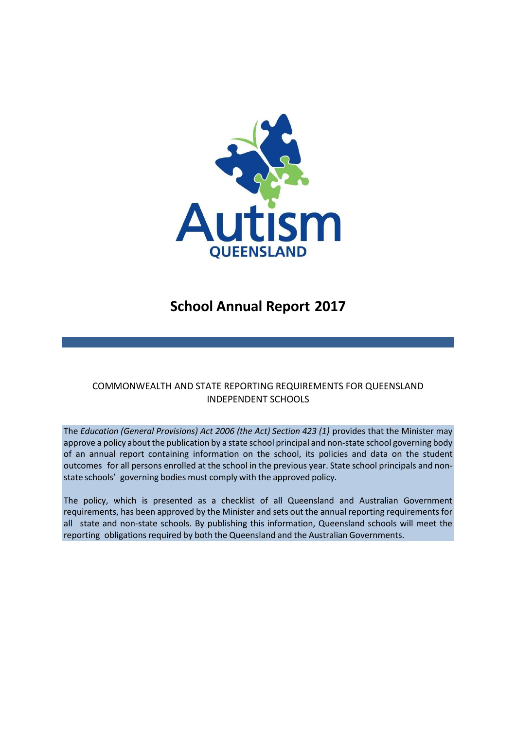

# **School Annual Report 2017**

# COMMONWEALTH AND STATE REPORTING REQUIREMENTS FOR QUEENSLAND INDEPENDENT SCHOOLS

The *Education (General Provisions) Act 2006 (the Act) Section 423 (1)* provides that the Minister may approve a policy about the publication by a state school principal and non-state school governing body of an annual report containing information on the school, its policies and data on the student outcomes for all persons enrolled at the school in the previous year. State school principals and nonstate schools' governing bodies must comply with the approved policy*.*

The policy, which is presented as a checklist of all Queensland and Australian Government requirements, has been approved by the Minister and sets out the annual reporting requirements for all state and non-state schools. By publishing this information, Queensland schools will meet the reporting obligations required by both the Queensland and the Australian Governments.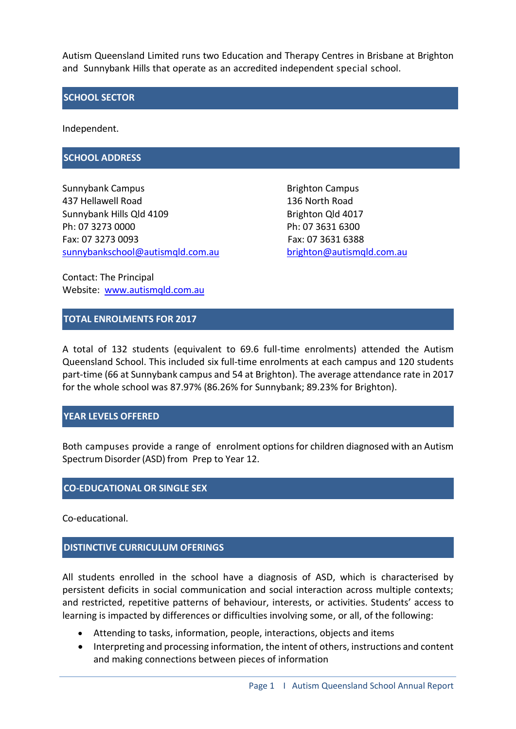Autism Queensland Limited runs two Education and Therapy Centres in Brisbane at Brighton and Sunnybank Hills that operate as an accredited independent special school.

#### **SCHOOL SECTOR**

Independent.

#### **SCHOOL ADDRESS**

Sunnybank Campus **Brighton Campus** Brighton Campus 437 Hellawell Road 136 North Road Sunnybank Hills Qld 4109 Brighton Qld 4017 Ph: 07 3273 0000 Ph: 07 3631 6300 Fax: 07 3273 0093 Fax: 07 3631 6388 [sunnybankschool@autismqld.com.au](mailto:sunnybankschool@autismqld.com.au) [brighton@autismqld.com.au](mailto:righton@autismqld.com.au)

Contact: The Principal Website: [www.autismqld.com.au](http://www.autismqld.com.au/)

#### **TOTAL ENROLMENTS FOR 2017**

A total of 132 students (equivalent to 69.6 full-time enrolments) attended the Autism Queensland School. This included six full-time enrolments at each campus and 120 students part-time (66 at Sunnybank campus and 54 at Brighton). The average attendance rate in 2017 for the whole school was 87.97% (86.26% for Sunnybank; 89.23% for Brighton).

#### **YEAR LEVELS OFFERED**

Both campuses provide a range of enrolment optionsfor children diagnosed with an Autism Spectrum Disorder(ASD) from Prep to Year 12.

#### **CO-EDUCATIONAL OR SINGLE SEX**

Co-educational.

#### **DISTINCTIVE CURRICULUM OFERINGS**

All students enrolled in the school have a diagnosis of ASD, which is characterised by persistent deficits in social communication and social interaction across multiple contexts; and restricted, repetitive patterns of behaviour, interests, or activities. Students' access to learning is impacted by differences or difficulties involving some, or all, of the following:

- Attending to tasks, information, people, interactions, objects and items
- Interpreting and processing information, the intent of others, instructions and content and making connections between pieces of information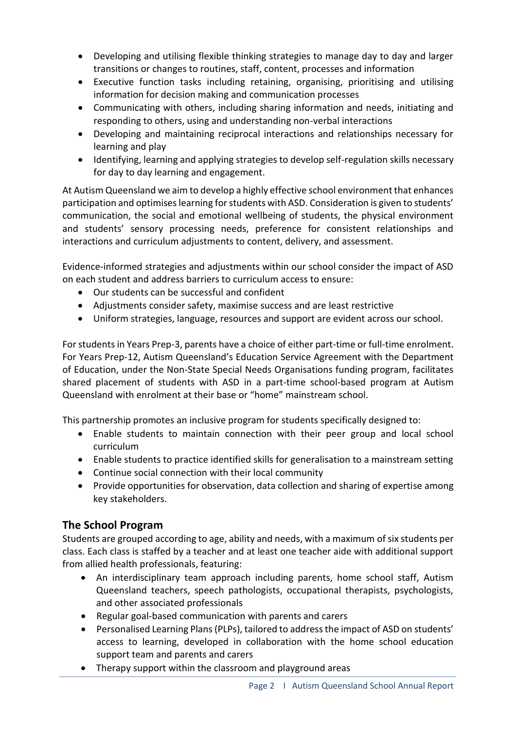- Developing and utilising flexible thinking strategies to manage day to day and larger transitions or changes to routines, staff, content, processes and information
- Executive function tasks including retaining, organising, prioritising and utilising information for decision making and communication processes
- Communicating with others, including sharing information and needs, initiating and responding to others, using and understanding non-verbal interactions
- Developing and maintaining reciprocal interactions and relationships necessary for learning and play
- Identifying, learning and applying strategies to develop self-regulation skills necessary for day to day learning and engagement.

At Autism Queensland we aim to develop a highly effective school environment that enhances participation and optimises learning for students with ASD. Consideration is given to students' communication, the social and emotional wellbeing of students, the physical environment and students' sensory processing needs, preference for consistent relationships and interactions and curriculum adjustments to content, delivery, and assessment.

Evidence-informed strategies and adjustments within our school consider the impact of ASD on each student and address barriers to curriculum access to ensure:

- Our students can be successful and confident
- Adjustments consider safety, maximise success and are least restrictive
- Uniform strategies, language, resources and support are evident across our school.

For students in Years Prep-3, parents have a choice of either part-time or full-time enrolment. For Years Prep-12, Autism Queensland's Education Service Agreement with the Department of Education, under the Non-State Special Needs Organisations funding program, facilitates shared placement of students with ASD in a part-time school-based program at Autism Queensland with enrolment at their base or "home" mainstream school.

This partnership promotes an inclusive program for students specifically designed to:

- Enable students to maintain connection with their peer group and local school curriculum
- Enable students to practice identified skills for generalisation to a mainstream setting
- Continue social connection with their local community
- Provide opportunities for observation, data collection and sharing of expertise among key stakeholders.

# **The School Program**

Students are grouped according to age, ability and needs, with a maximum of six students per class. Each class is staffed by a teacher and at least one teacher aide with additional support from allied health professionals, featuring:

- An interdisciplinary team approach including parents, home school staff, Autism Queensland teachers, speech pathologists, occupational therapists, psychologists, and other associated professionals
- Regular goal-based communication with parents and carers
- Personalised Learning Plans (PLPs), tailored to address the impact of ASD on students' access to learning, developed in collaboration with the home school education support team and parents and carers
- Therapy support within the classroom and playground areas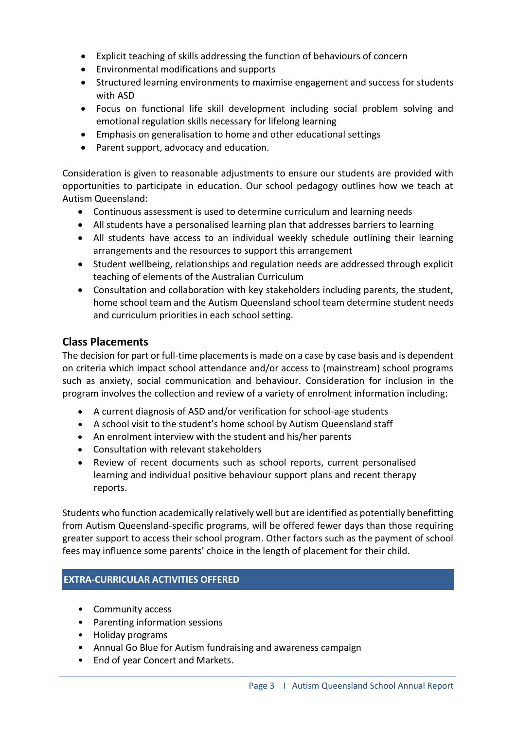- Explicit teaching of skills addressing the function of behaviours of concern
- Environmental modifications and supports
- Structured learning environments to maximise engagement and success for students with ASD
- Focus on functional life skill development including social problem solving and emotional regulation skills necessary for lifelong learning
- Emphasis on generalisation to home and other educational settings
- Parent support, advocacy and education.

Consideration is given to reasonable adjustments to ensure our students are provided with opportunities to participate in education. Our school pedagogy outlines how we teach at Autism Queensland:

- Continuous assessment is used to determine curriculum and learning needs
- All students have a personalised learning plan that addresses barriers to learning
- All students have access to an individual weekly schedule outlining their learning arrangements and the resources to support this arrangement
- Student wellbeing, relationships and regulation needs are addressed through explicit teaching of elements of the Australian Curriculum
- Consultation and collaboration with key stakeholders including parents, the student, home school team and the Autism Queensland school team determine student needs and curriculum priorities in each school setting.

# **Class Placements**

The decision for part or full-time placements is made on a case by case basis and is dependent on criteria which impact school attendance and/or access to (mainstream) school programs such as anxiety, social communication and behaviour. Consideration for inclusion in the program involves the collection and review of a variety of enrolment information including:

- A current diagnosis of ASD and/or verification for school-age students
- A school visit to the student's home school by Autism Queensland staff
- An enrolment interview with the student and his/her parents
- Consultation with relevant stakeholders
- Review of recent documents such as school reports, current personalised learning and individual positive behaviour support plans and recent therapy reports.

Students who function academically relatively well but are identified as potentially benefitting from Autism Queensland-specific programs, will be offered fewer days than those requiring greater support to access their school program. Other factors such as the payment of school fees may influence some parents' choice in the length of placement for their child.

### **EXTRA-CURRICULAR ACTIVITIES OFFERED**

- Community access
- Parenting information sessions
- Holiday programs
- Annual Go Blue for Autism fundraising and awareness campaign
- End of year Concert and Markets.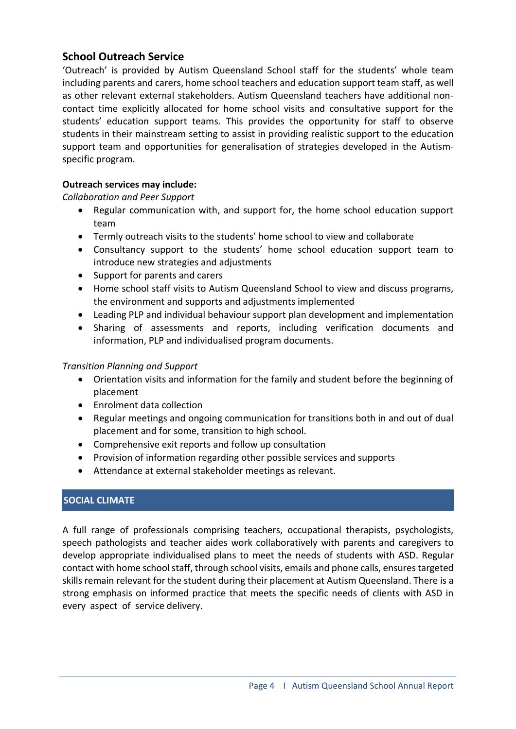# **School Outreach Service**

'Outreach' is provided by Autism Queensland School staff for the students' whole team including parents and carers, home school teachers and education support team staff, as well as other relevant external stakeholders. Autism Queensland teachers have additional noncontact time explicitly allocated for home school visits and consultative support for the students' education support teams. This provides the opportunity for staff to observe students in their mainstream setting to assist in providing realistic support to the education support team and opportunities for generalisation of strategies developed in the Autismspecific program.

# **Outreach services may include:**

*Collaboration and Peer Support*

- Regular communication with, and support for, the home school education support team
- Termly outreach visits to the students' home school to view and collaborate
- Consultancy support to the students' home school education support team to introduce new strategies and adjustments
- Support for parents and carers
- Home school staff visits to Autism Queensland School to view and discuss programs, the environment and supports and adjustments implemented
- Leading PLP and individual behaviour support plan development and implementation
- Sharing of assessments and reports, including verification documents and information, PLP and individualised program documents.

### *Transition Planning and Support*

- Orientation visits and information for the family and student before the beginning of placement
- Enrolment data collection
- Regular meetings and ongoing communication for transitions both in and out of dual placement and for some, transition to high school.
- Comprehensive exit reports and follow up consultation
- Provision of information regarding other possible services and supports
- Attendance at external stakeholder meetings as relevant.

## **SOCIAL CLIMATE**

A full range of professionals comprising teachers, occupational therapists, psychologists, speech pathologists and teacher aides work collaboratively with parents and caregivers to develop appropriate individualised plans to meet the needs of students with ASD. Regular contact with home school staff, through school visits, emails and phone calls, ensures targeted skills remain relevant for the student during their placement at Autism Queensland. There is a strong emphasis on informed practice that meets the specific needs of clients with ASD in every aspect of service delivery.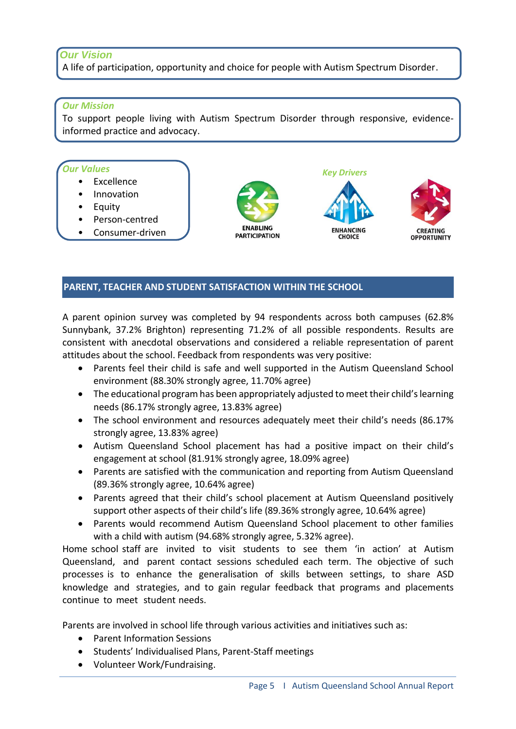# *Our Vision*

A life of participation, opportunity and choice for people with Autism Spectrum Disorder.

#### *Our Mission*

To support people living with Autism Spectrum Disorder through responsive, evidenceinformed practice and advocacy.

#### *Our Values*

- **Excellence**
- Innovation
- Equity
- Person-centred
- Consumer-driven



**ENHANCING CHOICE** 

*Key Drivers*



### **PARENT, TEACHER AND STUDENT SATISFACTION WITHIN THE SCHOOL**

A parent opinion survey was completed by 94 respondents across both campuses (62.8% Sunnybank, 37.2% Brighton) representing 71.2% of all possible respondents. Results are consistent with anecdotal observations and considered a reliable representation of parent attitudes about the school. Feedback from respondents was very positive:

- Parents feel their child is safe and well supported in the Autism Queensland School environment (88.30% strongly agree, 11.70% agree)
- The educational program has been appropriately adjusted to meet their child's learning needs (86.17% strongly agree, 13.83% agree)
- The school environment and resources adequately meet their child's needs (86.17% strongly agree, 13.83% agree)
- Autism Queensland School placement has had a positive impact on their child's engagement at school (81.91% strongly agree, 18.09% agree)
- Parents are satisfied with the communication and reporting from Autism Queensland (89.36% strongly agree, 10.64% agree)
- Parents agreed that their child's school placement at Autism Queensland positively support other aspects of their child's life (89.36% strongly agree, 10.64% agree)
- Parents would recommend Autism Queensland School placement to other families with a child with autism (94.68% strongly agree, 5.32% agree).

Home school staff are invited to visit students to see them 'in action' at Autism Queensland, and parent contact sessions scheduled each term. The objective of such processes is to enhance the generalisation of skills between settings, to share ASD knowledge and strategies, and to gain regular feedback that programs and placements continue to meet student needs.

Parents are involved in school life through various activities and initiatives such as:

- Parent Information Sessions
- Students' Individualised Plans, Parent-Staff meetings
- Volunteer Work/Fundraising.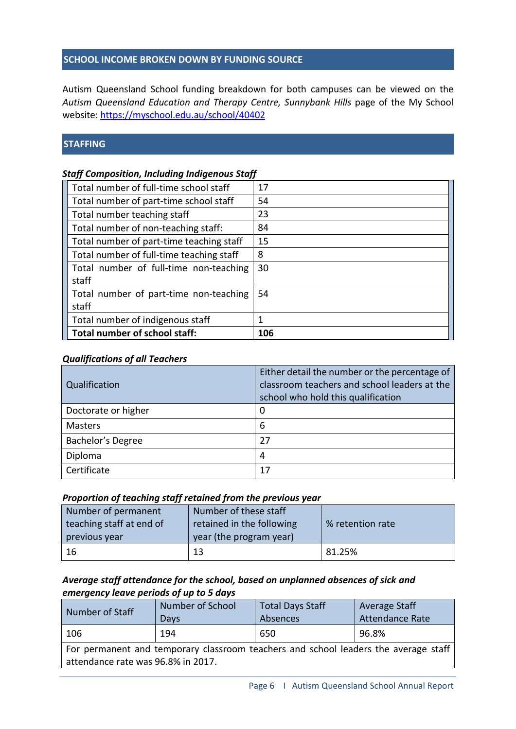#### **SCHOOL INCOME BROKEN DOWN BY FUNDING SOURCE**

Autism Queensland School funding breakdown for both campuses can be viewed on the *Autism Queensland Education and Therapy Centre, Sunnybank Hills* page of the My School website: <https://myschool.edu.au/school/40402>

#### **STAFFING**

### *Staff Composition, Including Indigenous Staff*

| Total number of full-time school staff   | 17  |
|------------------------------------------|-----|
| Total number of part-time school staff   | 54  |
| Total number teaching staff              | 23  |
| Total number of non-teaching staff:      | 84  |
| Total number of part-time teaching staff | 15  |
| Total number of full-time teaching staff | 8   |
| Total number of full-time non-teaching   | 30  |
| staff                                    |     |
| Total number of part-time non-teaching   | 54  |
| staff                                    |     |
| Total number of indigenous staff         | 1   |
| Total number of school staff:            | 106 |

#### *Qualifications of all Teachers*

| Qualification       | Either detail the number or the percentage of<br>classroom teachers and school leaders at the<br>school who hold this qualification |
|---------------------|-------------------------------------------------------------------------------------------------------------------------------------|
| Doctorate or higher | 0                                                                                                                                   |
| <b>Masters</b>      | 6                                                                                                                                   |
| Bachelor's Degree   | 27                                                                                                                                  |
| Diploma             | 4                                                                                                                                   |
| Certificate         | 17                                                                                                                                  |

#### *Proportion of teaching staff retained from the previous year*

| Number of permanent      | Number of these staff     |                  |  |
|--------------------------|---------------------------|------------------|--|
| teaching staff at end of | retained in the following | % retention rate |  |
| previous year            | year (the program year)   |                  |  |
| -16                      | 13                        | 81.25%           |  |

## *Average staff attendance for the school, based on unplanned absences of sick and emergency leave periods of up to 5 days*

| Number of Staff                                                                                                           | Number of School<br>Days | <b>Total Days Staff</b><br>Absences | Average Staff<br><b>Attendance Rate</b> |  |  |
|---------------------------------------------------------------------------------------------------------------------------|--------------------------|-------------------------------------|-----------------------------------------|--|--|
| 106                                                                                                                       | 194                      | 650                                 | 96.8%                                   |  |  |
| For permanent and temporary classroom teachers and school leaders the average staff<br>attendance rate was 96.8% in 2017. |                          |                                     |                                         |  |  |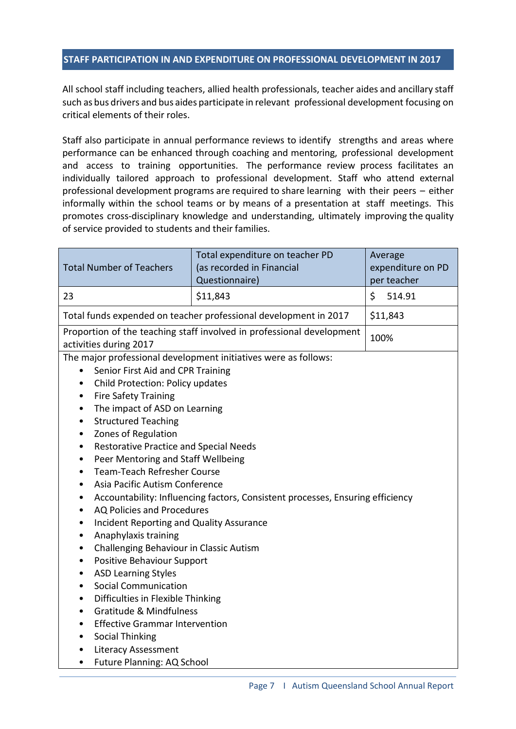#### **STAFF PARTICIPATION IN AND EXPENDITURE ON PROFESSIONAL DEVELOPMENT IN 2017**

All school staff including teachers, allied health professionals, teacher aides and ancillary staff such as bus drivers and bus aides participate in relevant professional development focusing on critical elements of their roles.

Staff also participate in annual performance reviews to identify strengths and areas where performance can be enhanced through coaching and mentoring, professional development and access to training opportunities. The performance review process facilitates an individually tailored approach to professional development. Staff who attend external professional development programs are required to share learning with their peers – either informally within the school teams or by means of a presentation at staff meetings. This promotes cross-disciplinary knowledge and understanding, ultimately improving the quality of service provided to students and their families.

| <b>Total Number of Teachers</b>                                                                                                                                                                                                                                                                                                                                                                                                                                                                                                                                                                                                                                                                                                                                                                                                                                                                                                                                                                                                                                                                                                                                                                                                                                                 | Total expenditure on teacher PD<br>(as recorded in Financial<br>Questionnaire) | Average<br>expenditure on PD<br>per teacher |  |
|---------------------------------------------------------------------------------------------------------------------------------------------------------------------------------------------------------------------------------------------------------------------------------------------------------------------------------------------------------------------------------------------------------------------------------------------------------------------------------------------------------------------------------------------------------------------------------------------------------------------------------------------------------------------------------------------------------------------------------------------------------------------------------------------------------------------------------------------------------------------------------------------------------------------------------------------------------------------------------------------------------------------------------------------------------------------------------------------------------------------------------------------------------------------------------------------------------------------------------------------------------------------------------|--------------------------------------------------------------------------------|---------------------------------------------|--|
| 23                                                                                                                                                                                                                                                                                                                                                                                                                                                                                                                                                                                                                                                                                                                                                                                                                                                                                                                                                                                                                                                                                                                                                                                                                                                                              | \$11,843                                                                       | \$<br>514.91                                |  |
| Total funds expended on teacher professional development in 2017                                                                                                                                                                                                                                                                                                                                                                                                                                                                                                                                                                                                                                                                                                                                                                                                                                                                                                                                                                                                                                                                                                                                                                                                                |                                                                                | \$11,843                                    |  |
| Proportion of the teaching staff involved in professional development<br>activities during 2017                                                                                                                                                                                                                                                                                                                                                                                                                                                                                                                                                                                                                                                                                                                                                                                                                                                                                                                                                                                                                                                                                                                                                                                 |                                                                                | 100%                                        |  |
| The major professional development initiatives were as follows:<br>Senior First Aid and CPR Training<br>$\bullet$<br>Child Protection: Policy updates<br>$\bullet$<br><b>Fire Safety Training</b><br>$\bullet$<br>The impact of ASD on Learning<br>$\bullet$<br><b>Structured Teaching</b><br>$\bullet$<br>Zones of Regulation<br>$\bullet$<br><b>Restorative Practice and Special Needs</b><br>$\bullet$<br>Peer Mentoring and Staff Wellbeing<br>$\bullet$<br><b>Team-Teach Refresher Course</b><br>$\bullet$<br>Asia Pacific Autism Conference<br>$\bullet$<br>Accountability: Influencing factors, Consistent processes, Ensuring efficiency<br>٠<br>AQ Policies and Procedures<br>$\bullet$<br><b>Incident Reporting and Quality Assurance</b><br>$\bullet$<br>Anaphylaxis training<br>$\bullet$<br>Challenging Behaviour in Classic Autism<br>$\bullet$<br>Positive Behaviour Support<br>٠<br><b>ASD Learning Styles</b><br>$\bullet$<br><b>Social Communication</b><br>$\bullet$<br>Difficulties in Flexible Thinking<br>$\bullet$<br><b>Gratitude &amp; Mindfulness</b><br>$\bullet$<br><b>Effective Grammar Intervention</b><br>$\bullet$<br><b>Social Thinking</b><br>$\bullet$<br><b>Literacy Assessment</b><br>$\bullet$<br>Future Planning: AQ School<br>$\bullet$ |                                                                                |                                             |  |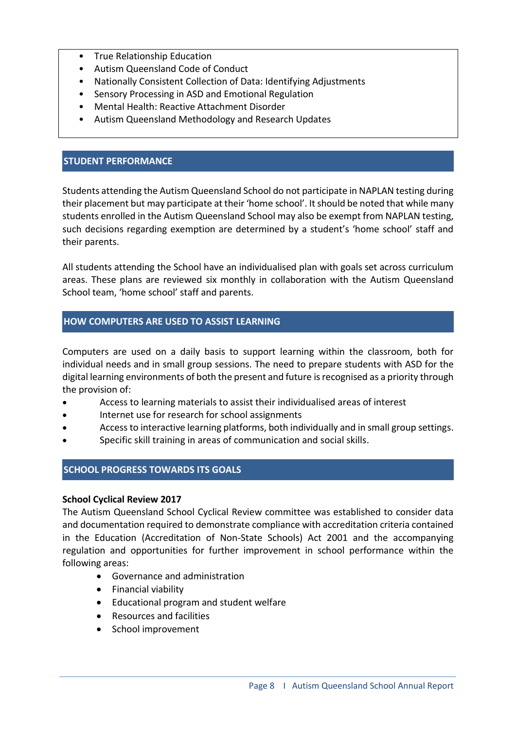- True Relationship Education
- Autism Queensland Code of Conduct
- Nationally Consistent Collection of Data: Identifying Adjustments
- Sensory Processing in ASD and Emotional Regulation
- Mental Health: Reactive Attachment Disorder
- Autism Queensland Methodology and Research Updates

#### **STUDENT PERFORMANCE**

Students attending the Autism Queensland School do not participate in NAPLAN testing during their placement but may participate at their 'home school'. It should be noted that while many students enrolled in the Autism Queensland School may also be exempt from NAPLAN testing, such decisions regarding exemption are determined by a student's 'home school' staff and their parents.

All students attending the School have an individualised plan with goals set across curriculum areas. These plans are reviewed six monthly in collaboration with the Autism Queensland School team, 'home school' staff and parents.

#### **HOW COMPUTERS ARE USED TO ASSIST LEARNING**

Computers are used on a daily basis to support learning within the classroom, both for individual needs and in small group sessions. The need to prepare students with ASD for the digital learning environments of both the present and future is recognised as a priority through the provision of:

- Access to learning materials to assist their individualised areas of interest
- Internet use for research for school assignments
- Access to interactive learning platforms, both individually and in small group settings.
- Specific skill training in areas of communication and social skills.

### **SCHOOL PROGRESS TOWARDS ITS GOALS**

#### **School Cyclical Review 2017**

The Autism Queensland School Cyclical Review committee was established to consider data and documentation required to demonstrate compliance with accreditation criteria contained in the Education (Accreditation of Non-State Schools) Act 2001 and the accompanying regulation and opportunities for further improvement in school performance within the following areas:

- Governance and administration
- Financial viability
- Educational program and student welfare
- Resources and facilities
- School improvement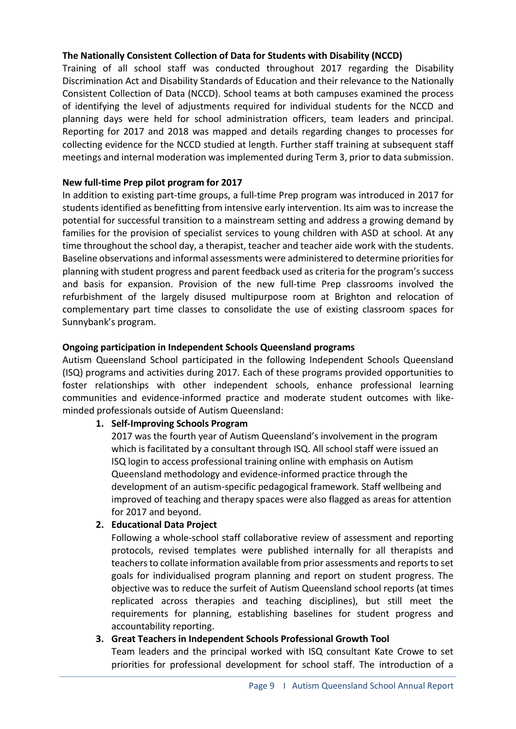## **The Nationally Consistent Collection of Data for Students with Disability (NCCD)**

Training of all school staff was conducted throughout 2017 regarding the Disability Discrimination Act and Disability Standards of Education and their relevance to the Nationally Consistent Collection of Data (NCCD). School teams at both campuses examined the process of identifying the level of adjustments required for individual students for the NCCD and planning days were held for school administration officers, team leaders and principal. Reporting for 2017 and 2018 was mapped and details regarding changes to processes for collecting evidence for the NCCD studied at length. Further staff training at subsequent staff meetings and internal moderation was implemented during Term 3, prior to data submission.

# **New full-time Prep pilot program for 2017**

In addition to existing part-time groups, a full-time Prep program was introduced in 2017 for students identified as benefitting from intensive early intervention. Its aim was to increase the potential for successful transition to a mainstream setting and address a growing demand by families for the provision of specialist services to young children with ASD at school. At any time throughout the school day, a therapist, teacher and teacher aide work with the students. Baseline observations and informal assessments were administered to determine priorities for planning with student progress and parent feedback used as criteria for the program's success and basis for expansion. Provision of the new full-time Prep classrooms involved the refurbishment of the largely disused multipurpose room at Brighton and relocation of complementary part time classes to consolidate the use of existing classroom spaces for Sunnybank's program.

# **Ongoing participation in Independent Schools Queensland programs**

Autism Queensland School participated in the following Independent Schools Queensland (ISQ) programs and activities during 2017. Each of these programs provided opportunities to foster relationships with other independent schools, enhance professional learning communities and evidence-informed practice and moderate student outcomes with likeminded professionals outside of Autism Queensland:

# **1. Self‐Improving Schools Program**

2017 was the fourth year of Autism Queensland's involvement in the program which is facilitated by a consultant through ISQ. All school staff were issued an ISQ login to access professional training online with emphasis on Autism Queensland methodology and evidence-informed practice through the development of an autism-specific pedagogical framework. Staff wellbeing and improved of teaching and therapy spaces were also flagged as areas for attention for 2017 and beyond.

# **2. Educational Data Project**

Following a whole-school staff collaborative review of assessment and reporting protocols, revised templates were published internally for all therapists and teachers to collate information available from prior assessments and reports to set goals for individualised program planning and report on student progress. The objective was to reduce the surfeit of Autism Queensland school reports (at times replicated across therapies and teaching disciplines), but still meet the requirements for planning, establishing baselines for student progress and accountability reporting.

### **3. Great Teachers in Independent Schools Professional Growth Tool**

Team leaders and the principal worked with ISQ consultant Kate Crowe to set priorities for professional development for school staff. The introduction of a